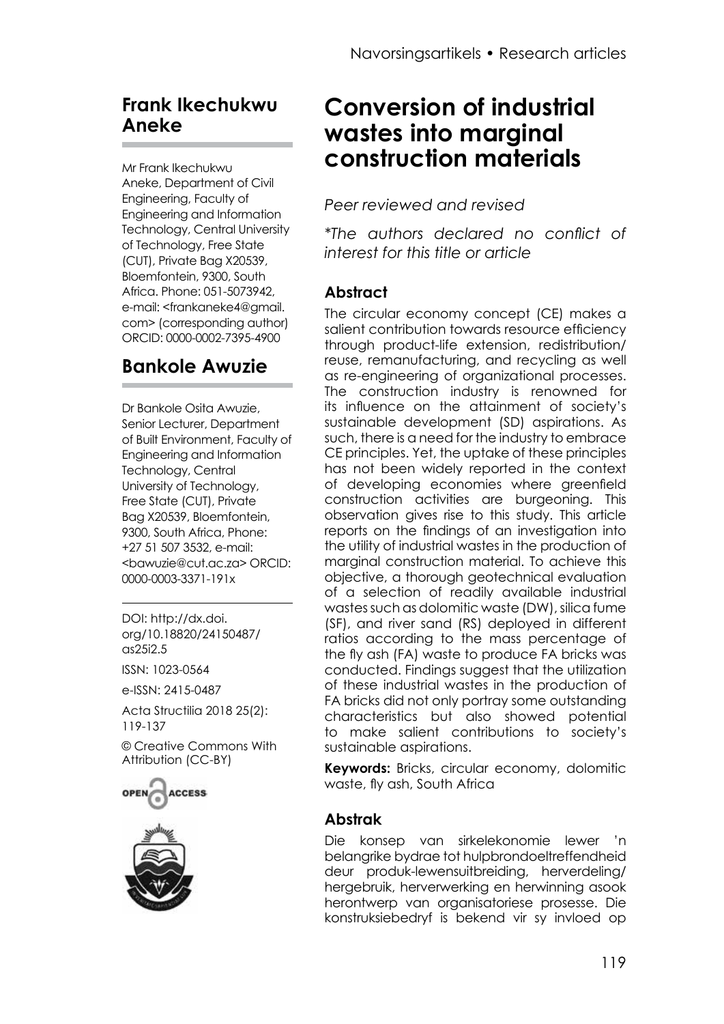## **Frank Ikechukwu Aneke**

Mr Frank Ikechukwu Aneke, Department of Civil Engineering, Faculty of Engineering and Information Technology, Central University of Technology, Free State (CUT), Private Bag X20539, Bloemfontein, 9300, South Africa. Phone: 051-5073942, e-mail: <frankaneke4@gmail. com> (corresponding author) ORCID: 0000-0002-7395-4900

## **Bankole Awuzie**

Dr Bankole Osita Awuzie, Senior Lecturer, Department of Built Environment, Faculty of Engineering and Information Technology, Central University of Technology, Free State (CUT), Private Bag X20539, Bloemfontein, 9300, South Africa, Phone: +27 51 507 3532, e-mail: <br />
shawuzie@cut.ac.za> ORCID: 0000-0003-3371-191x

DOI: http://dx.doi. org/10.18820/24150487/ as25i2.5

ISSN: 1023-0564

e-ISSN: 2415-0487

Acta Structilia 2018 25(2): 119-137

[© Creative Commons With](https://creativecommons.org/licenses/by/2.0/za/)  [Attribution \(CC-BY\)](https://creativecommons.org/licenses/by/2.0/za/)





# **Conversion of industrial wastes into marginal construction materials**

*Peer reviewed and revised*

*\*The authors declared no conflict of interest for this title or article*

#### **Abstract**

The circular economy concept (CE) makes a salient contribution towards resource efficiency through product-life extension, redistribution/ reuse, remanufacturing, and recycling as well as re-engineering of organizational processes. The construction industry is renowned for its influence on the attainment of society's sustainable development (SD) aspirations. As such, there is a need for the industry to embrace CE principles. Yet, the uptake of these principles has not been widely reported in the context of developing economies where greenfield construction activities are burgeoning. This observation gives rise to this study. This article reports on the findings of an investigation into the utility of industrial wastes in the production of marginal construction material. To achieve this objective, a thorough geotechnical evaluation of a selection of readily available industrial wastes such as dolomitic waste (DW), silica fume (SF), and river sand (RS) deployed in different ratios according to the mass percentage of the fly ash (FA) waste to produce FA bricks was conducted. Findings suggest that the utilization of these industrial wastes in the production of FA bricks did not only portray some outstanding characteristics but also showed potential to make salient contributions to society's sustainable aspirations.

**Keywords:** Bricks, circular economy, dolomitic waste, fly ash, South Africa

#### **Abstrak**

Die konsep van sirkelekonomie lewer 'n belangrike bydrae tot hulpbrondoeltreffendheid deur produk-lewensuitbreiding, herverdeling/ hergebruik, herverwerking en herwinning asook herontwerp van organisatoriese prosesse. Die konstruksiebedryf is bekend vir sy invloed op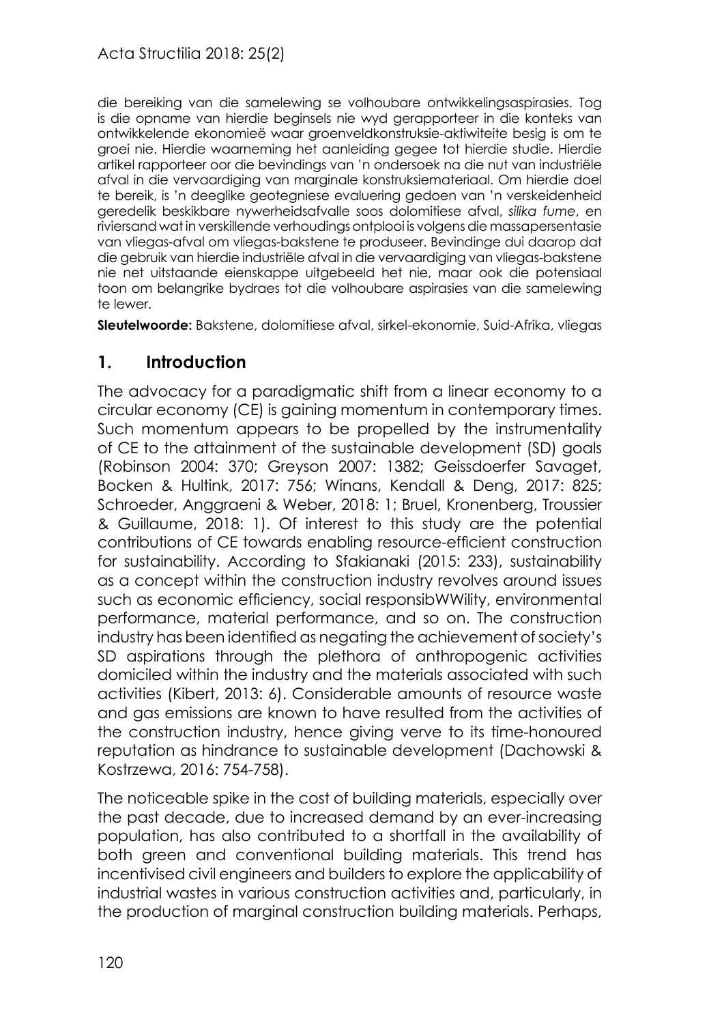die bereiking van die samelewing se volhoubare ontwikkelingsaspirasies. Tog is die opname van hierdie beginsels nie wyd gerapporteer in die konteks van ontwikkelende ekonomieë waar groenveldkonstruksie-aktiwiteite besig is om te groei nie. Hierdie waarneming het aanleiding gegee tot hierdie studie. Hierdie artikel rapporteer oor die bevindings van 'n ondersoek na die nut van industriële afval in die vervaardiging van marginale konstruksiemateriaal. Om hierdie doel te bereik, is 'n deeglike geotegniese evaluering gedoen van 'n verskeidenheid geredelik beskikbare nywerheidsafvalle soos dolomitiese afval, *silika fume*, en riviersand wat in verskillende verhoudings ontplooi is volgens die massapersentasie van vliegas-afval om vliegas-bakstene te produseer. Bevindinge dui daarop dat die gebruik van hierdie industriële afval in die vervaardiging van vliegas-bakstene nie net uitstaande eienskappe uitgebeeld het nie, maar ook die potensiaal toon om belangrike bydraes tot die volhoubare aspirasies van die samelewing te lewer.

**Sleutelwoorde:** Bakstene, dolomitiese afval, sirkel-ekonomie, Suid-Afrika, vliegas

#### **1. Introduction**

The advocacy for a paradigmatic shift from a linear economy to a circular economy (CE) is gaining momentum in contemporary times. Such momentum appears to be propelled by the instrumentality of CE to the attainment of the sustainable development (SD) goals (Robinson 2004: 370; Greyson 2007: 1382; Geissdoerfer Savaget, Bocken & Hultink, 2017: 756; Winans, Kendall & Deng, 2017: 825; Schroeder, Anggraeni & Weber, 2018: 1; Bruel, Kronenberg, Troussier & Guillaume, 2018: 1). Of interest to this study are the potential contributions of CE towards enabling resource-efficient construction for sustainability. According to Sfakianaki (2015: 233), sustainability as a concept within the construction industry revolves around issues such as economic efficiency, social responsibWWility, environmental performance, material performance, and so on. The construction industry has been identified as negating the achievement of society's SD aspirations through the plethora of anthropogenic activities domiciled within the industry and the materials associated with such activities (Kibert, 2013: 6). Considerable amounts of resource waste and gas emissions are known to have resulted from the activities of the construction industry, hence giving verve to its time-honoured reputation as hindrance to sustainable development (Dachowski & Kostrzewa, 2016: 754-758).

The noticeable spike in the cost of building materials, especially over the past decade, due to increased demand by an ever-increasing population, has also contributed to a shortfall in the availability of both green and conventional building materials. This trend has incentivised civil engineers and builders to explore the applicability of industrial wastes in various construction activities and, particularly, in the production of marginal construction building materials. Perhaps,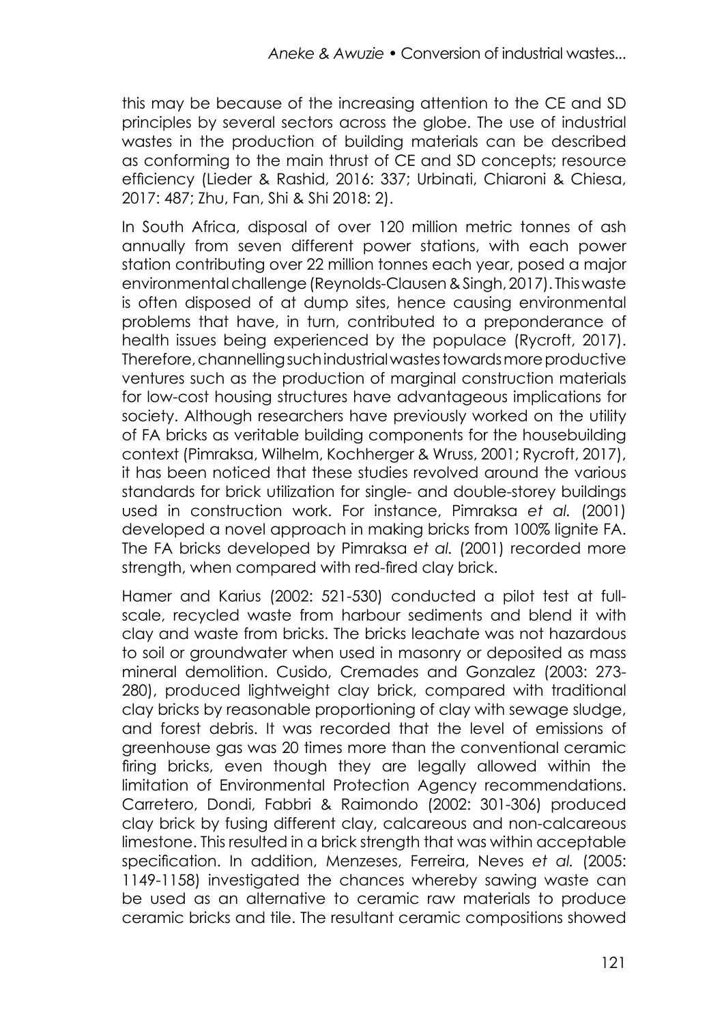this may be because of the increasing attention to the CE and SD principles by several sectors across the globe. The use of industrial wastes in the production of building materials can be described as conforming to the main thrust of CE and SD concepts; resource efficiency (Lieder & Rashid, 2016: 337; Urbinati, Chiaroni & Chiesa, 2017: 487; Zhu, Fan, Shi & Shi 2018: 2).

In South Africa, disposal of over 120 million metric tonnes of ash annually from seven different power stations, with each power station contributing over 22 million tonnes each year, posed a major environmental challenge (Reynolds-Clausen & Singh, 2017). This waste is often disposed of at dump sites, hence causing environmental problems that have, in turn, contributed to a preponderance of health issues being experienced by the populace (Rycroft, 2017). Therefore, channelling such industrial wastes towards more productive ventures such as the production of marginal construction materials for low-cost housing structures have advantageous implications for society. Although researchers have previously worked on the utility of FA bricks as veritable building components for the housebuilding context (Pimraksa, Wilhelm, Kochherger & Wruss, 2001; Rycroft, 2017), it has been noticed that these studies revolved around the various standards for brick utilization for single- and double-storey buildings used in construction work. For instance, Pimraksa *et al.* (2001) developed a novel approach in making bricks from 100% lignite FA. The FA bricks developed by Pimraksa *et al.* (2001) recorded more strength, when compared with red-fired clay brick.

Hamer and Karius (2002: 521-530) conducted a pilot test at fullscale, recycled waste from harbour sediments and blend it with clay and waste from bricks. The bricks leachate was not hazardous to soil or groundwater when used in masonry or deposited as mass mineral demolition. Cusido, Cremades and Gonzalez (2003: 273- 280), produced lightweight clay brick, compared with traditional clay bricks by reasonable proportioning of clay with sewage sludge, and forest debris. It was recorded that the level of emissions of greenhouse gas was 20 times more than the conventional ceramic firing bricks, even though they are legally allowed within the limitation of Environmental Protection Agency recommendations. Carretero, Dondi, Fabbri & Raimondo (2002: 301-306) produced clay brick by fusing different clay, calcareous and non-calcareous limestone. This resulted in a brick strength that was within acceptable specification. In addition, Menzeses, Ferreira, Neves *et al.* (2005: 1149-1158) investigated the chances whereby sawing waste can be used as an alternative to ceramic raw materials to produce ceramic bricks and tile. The resultant ceramic compositions showed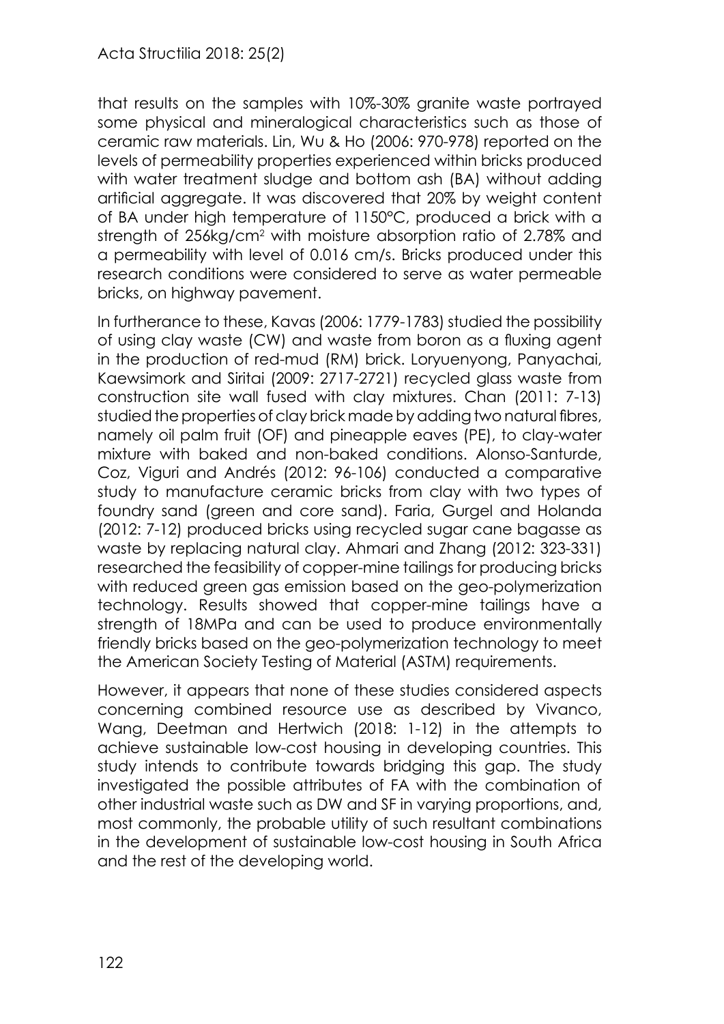that results on the samples with 10%-30% granite waste portrayed some physical and mineralogical characteristics such as those of ceramic raw materials. Lin, Wu & Ho (2006: 970-978) reported on the levels of permeability properties experienced within bricks produced with water treatment sludge and bottom ash (BA) without adding artificial aggregate. It was discovered that 20% by weight content of BA under high temperature of 1150°C, produced a brick with a strength of 256kg/cm<sup>2</sup> with moisture absorption ratio of 2.78% and a permeability with level of 0.016 cm/s. Bricks produced under this research conditions were considered to serve as water permeable bricks, on highway pavement.

In furtherance to these, Kavas (2006: 1779-1783) studied the possibility of using clay waste (CW) and waste from boron as a fluxing agent in the production of red-mud (RM) brick. Loryuenyong, Panyachai, Kaewsimork and Siritai (2009: 2717-2721) recycled glass waste from construction site wall fused with clay mixtures. Chan (2011: 7-13) studied the properties of clay brick made by adding two natural fibres, namely oil palm fruit (OF) and pineapple eaves (PE), to clay-water mixture with baked and non-baked conditions. Alonso-Santurde, Coz, Viguri and Andrés (2012: 96-106) conducted a comparative study to manufacture ceramic bricks from clay with two types of foundry sand (green and core sand). Faria, Gurgel and Holanda (2012: 7-12) produced bricks using recycled sugar cane bagasse as waste by replacing natural clay. Ahmari and Zhang (2012: 323-331) researched the feasibility of copper-mine tailings for producing bricks with reduced green gas emission based on the geo-polymerization technology. Results showed that copper-mine tailings have a strength of 18MPa and can be used to produce environmentally friendly bricks based on the geo-polymerization technology to meet the American Society Testing of Material (ASTM) requirements.

However, it appears that none of these studies considered aspects concerning combined resource use as described by Vivanco, Wang, Deetman and Hertwich (2018: 1-12) in the attempts to achieve sustainable low-cost housing in developing countries. This study intends to contribute towards bridging this gap. The study investigated the possible attributes of FA with the combination of other industrial waste such as DW and SF in varying proportions, and, most commonly, the probable utility of such resultant combinations in the development of sustainable low-cost housing in South Africa and the rest of the developing world.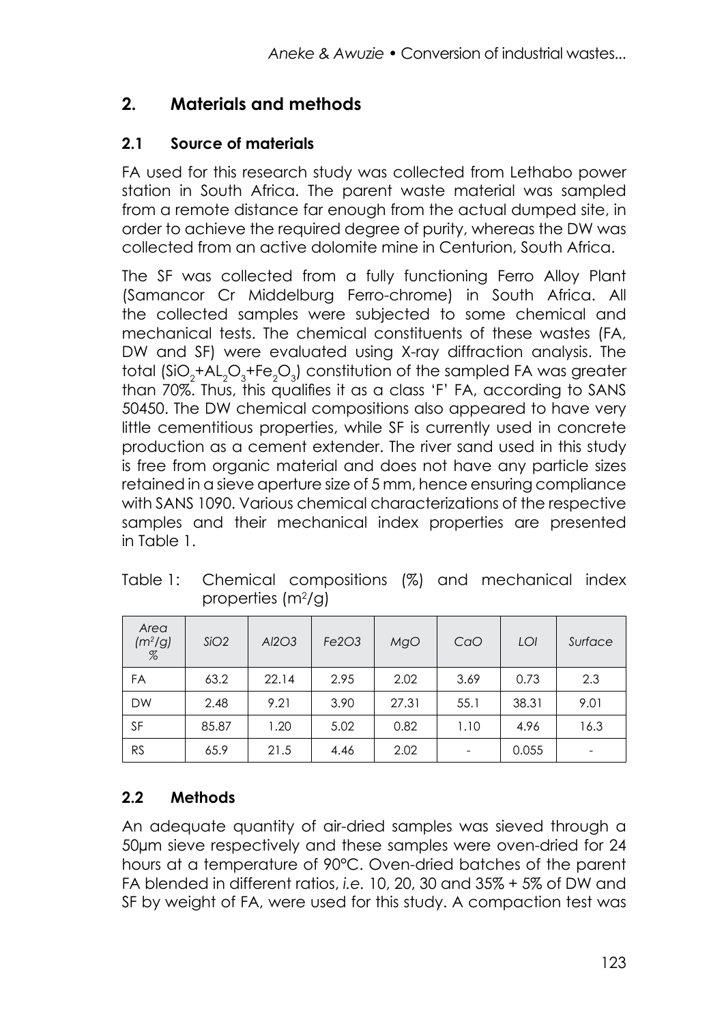## **2. Materials and methods**

### **2.1 Source of materials**

FA used for this research study was collected from Lethabo power station in South Africa. The parent waste material was sampled from a remote distance far enough from the actual dumped site, in order to achieve the required degree of purity, whereas the DW was collected from an active dolomite mine in Centurion, South Africa.

The SF was collected from a fully functioning Ferro Alloy Plant (Samancor Cr Middelburg Ferro-chrome) in South Africa. All the collected samples were subjected to some chemical and mechanical tests. The chemical constituents of these wastes (FA, DW and SF) were evaluated using X-ray diffraction analysis. The total  $(\text{SiO}_2 + \text{AL}_2\text{O}_3 + \text{Fe}_2\text{O}_3)$  constitution of the sampled FA was greater than 70%. Thus, this qualifies it as a class 'F' FA, according to SANS 50450. The DW chemical compositions also appeared to have very little cementitious properties, while SF is currently used in concrete production as a cement extender. The river sand used in this study is free from organic material and does not have any particle sizes retained in a sieve aperture size of 5 mm, hence ensuring compliance with SANS 1090. Various chemical characterizations of the respective samples and their mechanical index properties are presented in Table 1.

| Area<br>(m <sup>2</sup> /g)<br>$\%$ | SiO2  | AI2O3 | Fe2O3 | MgO   | CaO  | LOI   | Surface |
|-------------------------------------|-------|-------|-------|-------|------|-------|---------|
| FA                                  | 63.2  | 22.14 | 2.95  | 2.02  | 3.69 | 0.73  | 2.3     |
| <b>DW</b>                           | 2.48  | 9.21  | 3.90  | 27.31 | 55.1 | 38.31 | 9.01    |
| SF                                  | 85.87 | 1.20  | 5.02  | 0.82  | 1.10 | 4.96  | 16.3    |
| <b>RS</b>                           | 65.9  | 21.5  | 4.46  | 2.02  |      | 0.055 | ۰       |

Table 1: Chemical compositions (%) and mechanical index properties (m<sup>2</sup>/g)

## **2.2 Methods**

An adequate quantity of air-dried samples was sieved through a 50µm sieve respectively and these samples were oven-dried for 24 hours at a temperature of 90°C. Oven-dried batches of the parent FA blended in different ratios, *i.e.* 10, 20, 30 and 35% + 5% of DW and SF by weight of FA, were used for this study. A compaction test was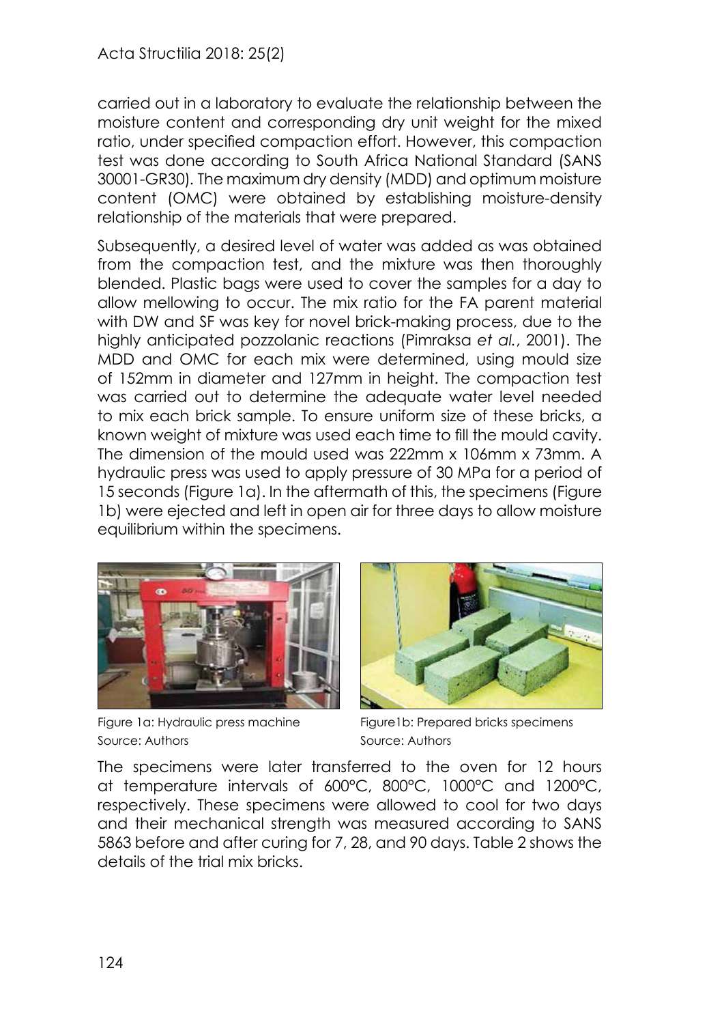carried out in a laboratory to evaluate the relationship between the moisture content and corresponding dry unit weight for the mixed ratio, under specified compaction effort. However, this compaction test was done according to South Africa National Standard (SANS 30001-GR30)*.* The maximum dry density (MDD) and optimum moisture content (OMC) were obtained by establishing moisture-density relationship of the materials that were prepared.

Subsequently, a desired level of water was added as was obtained from the compaction test, and the mixture was then thoroughly blended. Plastic bags were used to cover the samples for a day to allow mellowing to occur. The mix ratio for the FA parent material with DW and SF was key for novel brick-making process, due to the highly anticipated pozzolanic reactions (Pimraksa *et al.*, 2001). The MDD and OMC for each mix were determined, using mould size of 152mm in diameter and 127mm in height. The compaction test was carried out to determine the adequate water level needed to mix each brick sample. To ensure uniform size of these bricks, a known weight of mixture was used each time to fill the mould cavity. The dimension of the mould used was 222mm x 106mm x 73mm. A hydraulic press was used to apply pressure of 30 MPa for a period of 15 seconds (Figure 1a). In the aftermath of this, the specimens (Figure 1b) were ejected and left in open air for three days to allow moisture equilibrium within the specimens.



Figure 1a: Hydraulic press machine Source: Authors



Figure1b: Prepared bricks specimens Source: Authors

The specimens were later transferred to the oven for 12 hours at temperature intervals of 600°C, 800°C, 1000°C and 1200°C, respectively. These specimens were allowed to cool for two days and their mechanical strength was measured according to SANS 5863 before and after curing for 7, 28, and 90 days. Table 2 shows the details of the trial mix bricks.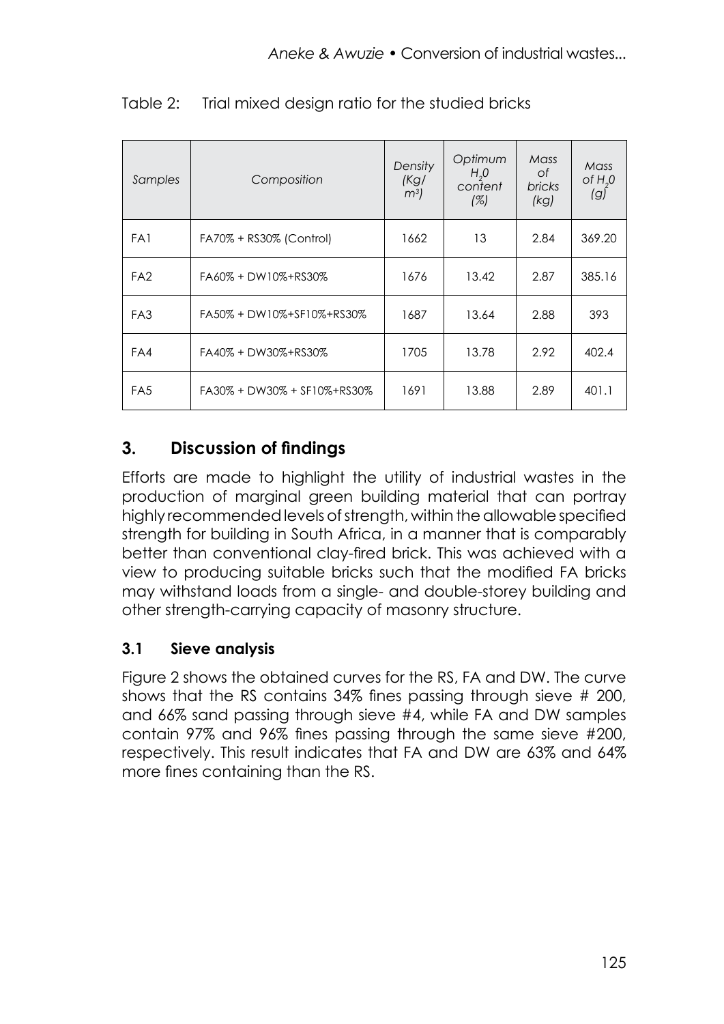| Samples         | Composition                 | Density<br>(Kg)<br>m <sup>3</sup> | Optimum<br>H <sub>2</sub> 0<br>content<br>(%) | Mass<br>Οf<br><b>bricks</b><br>(kq) | Mass<br>of $H0$<br>(g) |
|-----------------|-----------------------------|-----------------------------------|-----------------------------------------------|-------------------------------------|------------------------|
| FA1             | FA70% + RS30% (Control)     | 1662                              | 13                                            | 2.84                                | 369.20                 |
| FA <sub>2</sub> | FA60% + DW10%+RS30%         | 1676                              | 13.42                                         | 2.87                                | 385.16                 |
| FA <sub>3</sub> | FA50% + DW10%+SF10%+RS30%   | 1687                              | 13.64                                         | 2.88                                | 393                    |
| FA4             | FA40% + DW30%+RS30%         | 1705                              | 13.78                                         | 2.92                                | 402.4                  |
| FA <sub>5</sub> | FA30% + DW30% + SF10%+RS30% | 1691                              | 13.88                                         | 2.89                                | 401.1                  |

Table 2: Trial mixed design ratio for the studied bricks

## **3. Discussion of findings**

Efforts are made to highlight the utility of industrial wastes in the production of marginal green building material that can portray highly recommended levels of strength, within the allowable specified strength for building in South Africa, in a manner that is comparably better than conventional clay-fired brick. This was achieved with a view to producing suitable bricks such that the modified FA bricks may withstand loads from a single- and double-storey building and other strength-carrying capacity of masonry structure.

#### **3.1 Sieve analysis**

Figure 2 shows the obtained curves for the RS, FA and DW. The curve shows that the RS contains 34% fines passing through sieve # 200, and 66% sand passing through sieve #4, while FA and DW samples contain 97% and 96% fines passing through the same sieve #200, respectively. This result indicates that FA and DW are 63% and 64% more fines containing than the RS.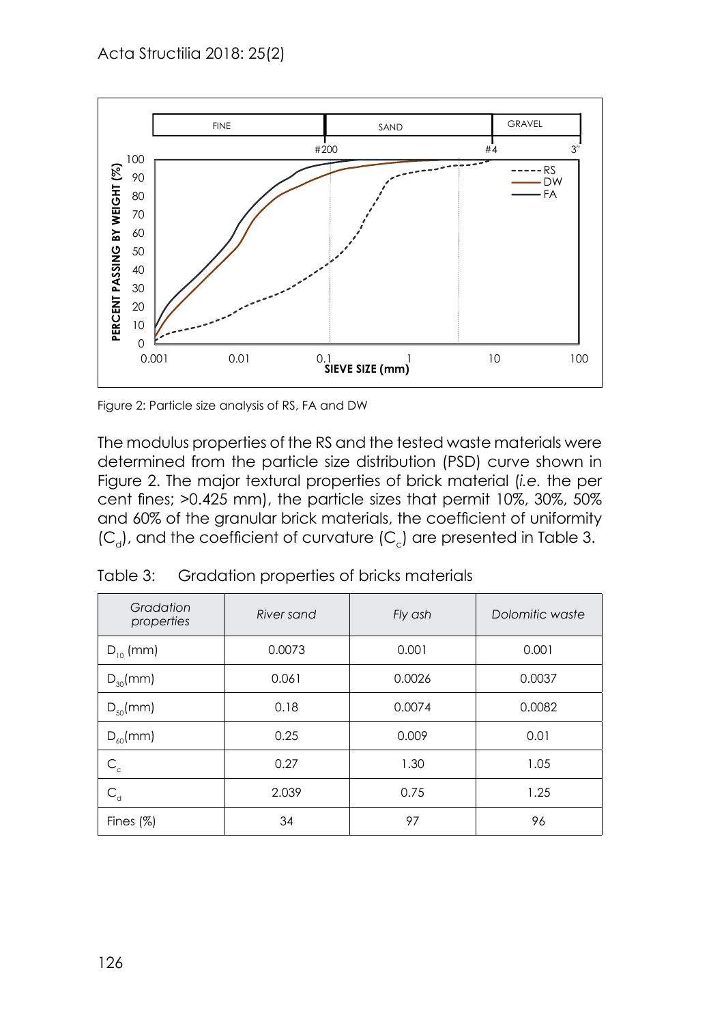

Figure 2: Particle size analysis of RS, FA and DW Figure 2: Particle size analysis of RS, FA and DW

The modulus properties of the RS and the RS and the tested was tested was tested was tested was The modulus properties of the RS and the tested waste materials were determined from the particle size distribution (PSD) curve shown in Figure 2. The major textural properties of brick material (*i.e.* the per cent fines; >0.425 mm), the particle sizes that permit 10%, 30%, 50% and 60% of the granular brick materials, the coefficient of uniformity *(*C<sub>a</sub>), and the coefficient of curvature (C<sub>c</sub>) are presented in Table 3.

| Gradation<br>properties                       | River sand | Fly ash | Dolomitic waste |  |
|-----------------------------------------------|------------|---------|-----------------|--|
| $D_{10}$ (mm)                                 | 0.0073     |         | 0.001           |  |
| $D_{30}$ (mm)                                 | 0.061      | 0.0026  | 0.0037          |  |
| $D_{50}$ (mm)                                 | 0.18       | 0.0074  | 0.0082          |  |
| $D_{\kappa 0}$ (mm)                           | 0.25       | 0.009   | 0.01            |  |
| $\mathsf{C}_\mathsf{c}$                       | 0.27       | 1.30    | 1.05            |  |
| $\mathsf{C}_{\scriptscriptstyle{\mathsf{d}}}$ | 2.039      | 0.75    | 1.25            |  |
| Fines $(%)$                                   | 34         | 97      | 96              |  |

Table 3: Gradation properties of bricks materials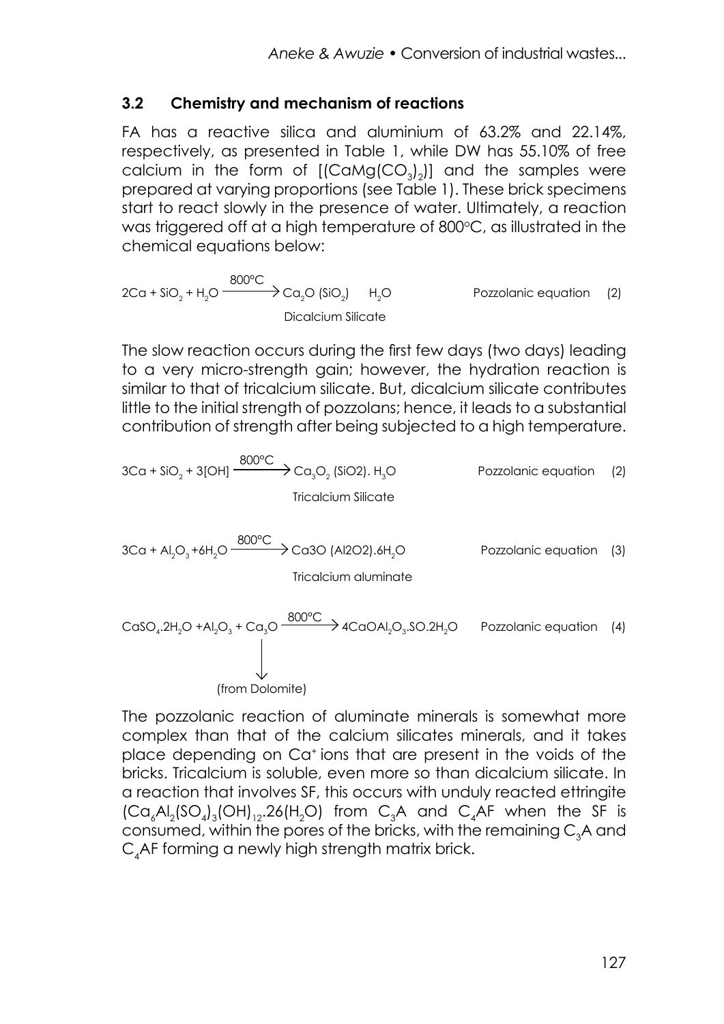#### **3.2 Chemistry and mechanism of reactions**

FA has a reactive silica and aluminium of 63.2% and 22.14%, respectively, as presented in Table 1, while DW has 55.10% of free calcium in the form of  $[(\text{CaMg}(\text{CO}_3)_2)]$  and the samples were prepared at varying proportions (see Table 1). These brick specimens start to react slowly in the presence of water. Ultimately, a reaction was triggered off at a high temperature of 800°C, as illustrated in the chemical equations below:

 $2Ca + SiO<sub>2</sub> + H<sub>2</sub>O \xrightarrow{800°C} Ca<sub>2</sub>O (SiO<sub>2</sub>)$  H<sub>2</sub> Pozzolanic equation (2) Dicalcium Silicate

The slow reaction occurs during the first few days (two days) leading to a very micro-strength gain; however, the hydration reaction is similar to that of tricalcium silicate. But, dicalcium silicate contributes little to the initial strength of pozzolans; hence, it leads to a substantial contribution of strength after being subjected to a high temperature.

$$
3Ca + SiO2 + 3[OH] \xrightarrow{800^{\circ}C} Ca3O2 (SiO2). H3O
$$
 Pozzolanic equation (2)  
Tricalcium Silicate  

$$
3Ca + Al2O3+6H2O \xrightarrow{800^{\circ}C} Ca3O (Al2O2).6H2O
$$
Pozzolanic equation (3)  
Tricalcium aluminate  

$$
CaSO4.2H2O + Al2O3 + Ca3O \xrightarrow{800^{\circ}C} 4CaOAl2O3.SO.2H2O
$$
Pozzolanic equation (4)

(from Dolomite)

The pozzolanic reaction of aluminate minerals is somewhat more complex than that of the calcium silicates minerals, and it takes place depending on Ca+ ions that are present in the voids of the bricks. Tricalcium is soluble, even more so than dicalcium silicate. In a reaction that involves SF, this occurs with unduly reacted ettringite  $\left[\text{Ca}_{6}\text{Al}_{2}\text{(SO}_{4}\right]_{3}\text{(OH)}_{12}\text{.}26\text{(H}_{2}\text{O)}$  from  $\text{C}_{3}\text{A}$  and  $\text{C}_{4}\text{AF}$  when the SF is consumed, within the pores of the bricks, with the remaining  $\mathsf{C}_{\mathfrak{z}}$ A and  $\mathsf{C}_4$ AF forming a newly high strength matrix brick.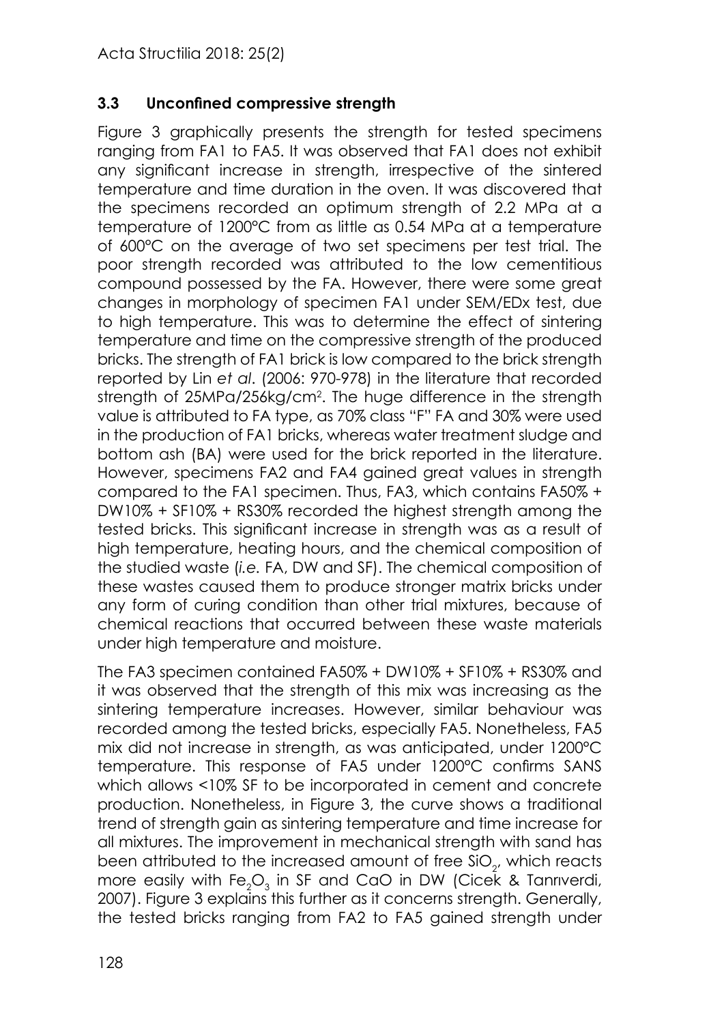#### **3.3 Unconfined compressive strength**

Figure 3 graphically presents the strength for tested specimens ranging from FA1 to FA5. It was observed that FA1 does not exhibit any significant increase in strength, irrespective of the sintered temperature and time duration in the oven. It was discovered that the specimens recorded an optimum strength of 2.2 MPa at a temperature of 1200°C from as little as 0.54 MPa at a temperature of 600°C on the average of two set specimens per test trial. The poor strength recorded was attributed to the low cementitious compound possessed by the FA. However, there were some great changes in morphology of specimen FA1 under SEM/EDx test, due to high temperature. This was to determine the effect of sintering temperature and time on the compressive strength of the produced bricks. The strength of FA1 brick is low compared to the brick strength reported by Lin *et al*. (2006: 970-978) in the literature that recorded strength of 25MPa/256kg/cm2 . The huge difference in the strength value is attributed to FA type, as 70% class "F" FA and 30% were used in the production of FA1 bricks, whereas water treatment sludge and bottom ash (BA) were used for the brick reported in the literature. However, specimens FA2 and FA4 gained great values in strength compared to the FA1 specimen. Thus, FA3, which contains FA50% + DW10% + SF10% + RS30% recorded the highest strength among the tested bricks. This significant increase in strength was as a result of high temperature, heating hours, and the chemical composition of the studied waste (*i.e.* FA, DW and SF). The chemical composition of these wastes caused them to produce stronger matrix bricks under any form of curing condition than other trial mixtures, because of chemical reactions that occurred between these waste materials under high temperature and moisture.

The FA3 specimen contained FA50% + DW10% + SF10% + RS30% and it was observed that the strength of this mix was increasing as the sintering temperature increases. However, similar behaviour was recorded among the tested bricks, especially FA5. Nonetheless, FA5 mix did not increase in strength, as was anticipated, under 1200°C temperature. This response of FA5 under 1200°C confirms SANS which allows <10% SF to be incorporated in cement and concrete production. Nonetheless, in Figure 3, the curve shows a traditional trend of strength gain as sintering temperature and time increase for all mixtures. The improvement in mechanical strength with sand has been attributed to the increased amount of free SiO $_{\textrm{\tiny{2}}}$ , which reacts more easily with Fe $\rm _2O_3$  in SF and CaO in DW (Cicek & Tanrıverdi, 2007). Figure 3 explains this further as it concerns strength. Generally, the tested bricks ranging from FA2 to FA5 gained strength under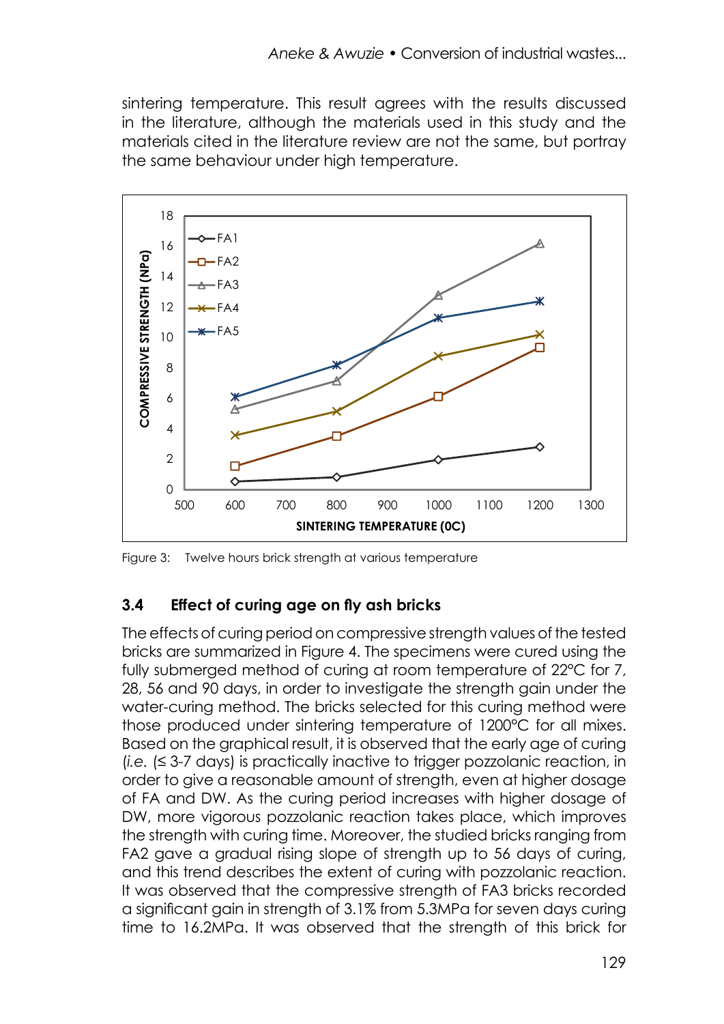sintering temperature. This result agrees with the results discussed in the literature, although the materials used in this study and the materials cited in the literature review are not the same, but portray the same behaviour under high temperature.



Figure 3: Twelve hours brick strength at various temperature Figure 3: Twelve hours brick strength at various temperature

#### **4.4 Effect of curing age on fly ash bricks 3.4 Effect of curing age on fly ash bricks**

The effects of curing period on compressive strength values of the tested bricks are bricks are summarized in Figure 4. The specimens were cured using the summarized in Figure 4. The specimens were cured using the fully submerged fully submerged method of curing at room temperature of 22°C for 7, method of curing at room temperature of 22°C for 7, 28, 56 and 90 days, in order to 28, 56 and 90 days, in order to investigate the strength gain under the investigate the strength gain under the water-curing method. The bricks selected for water-curing method. The bricks selected for this curing method were were comig member. The blicks selected for his comig member were<br>those produced under sintering temperature of 1200°C for all mixes. all mixes. Based on the graphical result, it is observed that the early age of curing Based on the graphical result, it is observed that the early age of curing (*i.e.* (≤ 3-7 days) is practically inactive to trigger pozzolanic reaction, in order to give (*i.e.* (≤ 3-7 days) is practically inactive to trigger pozzolanic reaction, in and a reasonable amount of strength, even at higher dosage order to give a reasonable amount of strength, even at higher dosage ordor to give a reasonable amount or shongin, overfarring for dosage of prior and DW. As the curing period increases with higher dosage of of the and BW. Forms coming ponsal increases with ingrior assage of<br>DW, more vigorous pozzolanic reaction takes place, which improves bety, more angered position in a countrienced place, which improves mo shonght with odinig inflot modes of, the stocked onested gang it on the extendion. The extendion of the extent of pozzolanic reaction. The extendion of the extent of pozzolanic reaction. The extendion of the extent of p It was gave a gradual hangest of shortgin up to be days or bonng. and this from describes the extern of centry time persent in center."<br>It was observed that the compressive strength of FA3 bricks recorded n was esserved that the compressive strength of this sheke received<br>a significant gain in strength of 3.1% from 5.3MPa for seven days curing age increases. The reason for this was the release of free calcium hydroxide time to 16.2MPa. It was observed that the strength of this brick for (Ca) can of the dolomite, which was considered and the something with some active. The effects of curing period on compressive strength values of the tested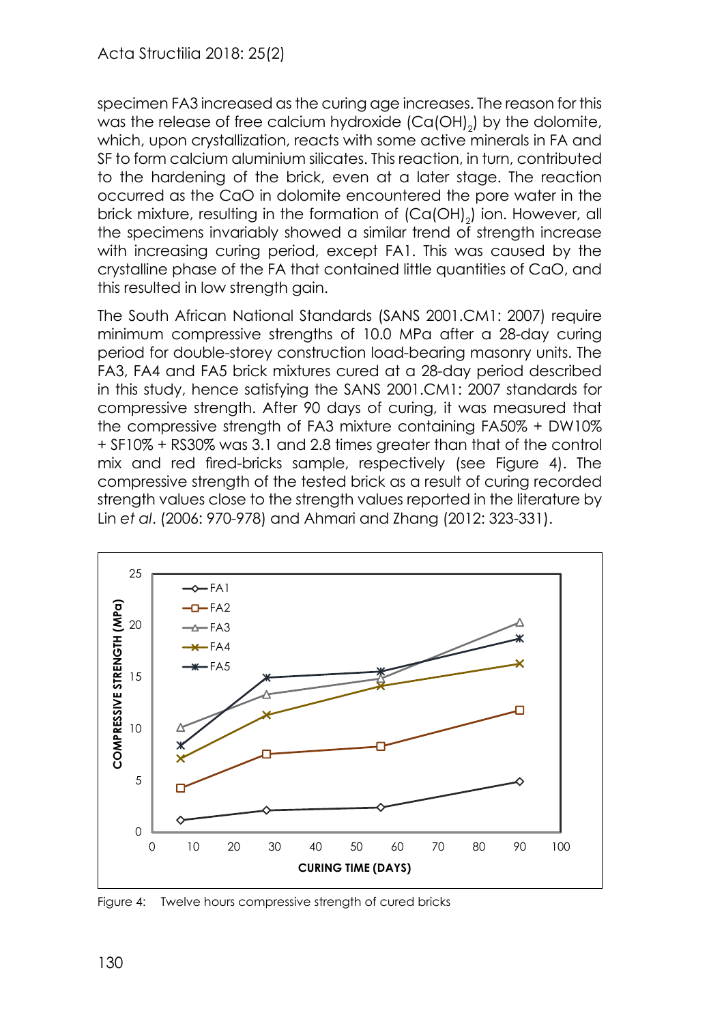specimen FA3 increased as the curing age increases. The reason for this was the release of free calcium hydroxide  $(Ca(OH)_2)$  by the dolomite, which, upon crystallization, reacts with some active minerals in FA and SF to form calcium aluminium silicates. This reaction, in turn, contributed to the hardening of the brick, even at a later stage. The reaction occurred as the CaO in dolomite encountered the pore water in the brick mixture, resulting in the formation of (Ca(OH)<sub>2</sub>) ion. However, all the specimens invariably showed a similar trend of strength increase with increasing curing period, except FA1. This was caused by the crystalline phase of the FA that contained little quantities of CaO, and this resulted in low strength gain.

The South African National Standards (SANS 2001.CM1: 2007) require minimum compressive strengths of 10.0 MPa after a 28-day curing period for double-storey construction load-bearing masonry units. The FA3, FA4 and FA5 brick mixtures cured at a 28-day period described in this study, hence satisfying the SANS 2001.CM1: 2007 standards for compressive strength. After 90 days of curing, it was measured that compressive strength. Atten 20 days or colling, it was mediscred in the compressive strength of FA3 mixture containing FA50% + DW10% the compressive sheright of the mixture complimity theose. Extress for compressive strength of the compressive strength of the control or only a respectively compressed in the compressive strength of the compressive strength of the containing FAS<br>mix and red fired-bricks sample, respectively (see Figure 4). The rik and red med-bricks sample, respectively (see rigore 4). The compressive strength of the tested brick as a result of curing recorded strength values close to the strength values reported in the literature by<br>... Lin *et al. (2006: 970-978) and Ahmari and Zhang (2012: 323-331).* ompressive site right of the fested prick as a result of comptenent of compressive



Figure 4: Twelve hours compressive strength of cured bricks Figure 4: Twelve hours compressive strength of cured bricks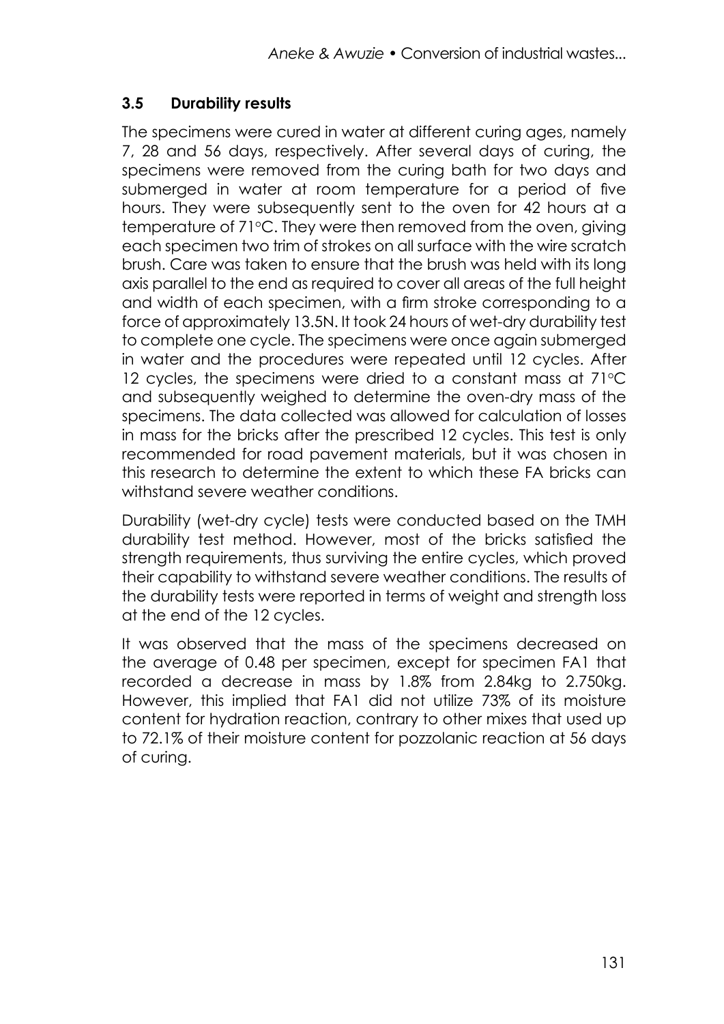#### **3.5 Durability results**

The specimens were cured in water at different curing ages, namely 7, 28 and 56 days, respectively. After several days of curing, the specimens were removed from the curing bath for two days and submerged in water at room temperature for a period of five hours. They were subsequently sent to the oven for 42 hours at a temperature of 71°C. They were then removed from the oven, giving each specimen two trim of strokes on all surface with the wire scratch brush. Care was taken to ensure that the brush was held with its long axis parallel to the end as required to cover all areas of the full height and width of each specimen, with a firm stroke corresponding to a force of approximately 13.5N. It took 24 hours of wet-dry durability test to complete one cycle. The specimens were once again submerged in water and the procedures were repeated until 12 cycles. After 12 cycles, the specimens were dried to a constant mass at  $71^{\circ}$ C and subsequently weighed to determine the oven-dry mass of the specimens. The data collected was allowed for calculation of losses in mass for the bricks after the prescribed 12 cycles. This test is only recommended for road pavement materials, but it was chosen in this research to determine the extent to which these FA bricks can withstand severe weather conditions.

Durability (wet-dry cycle) tests were conducted based on the TMH durability test method. However, most of the bricks satisfied the strength requirements, thus surviving the entire cycles, which proved their capability to withstand severe weather conditions. The results of the durability tests were reported in terms of weight and strength loss at the end of the 12 cycles.

It was observed that the mass of the specimens decreased on the average of 0.48 per specimen, except for specimen FA1 that recorded a decrease in mass by 1.8% from 2.84kg to 2.750kg. However, this implied that FA1 did not utilize 73% of its moisture content for hydration reaction, contrary to other mixes that used up to 72.1% of their moisture content for pozzolanic reaction at 56 days of curing.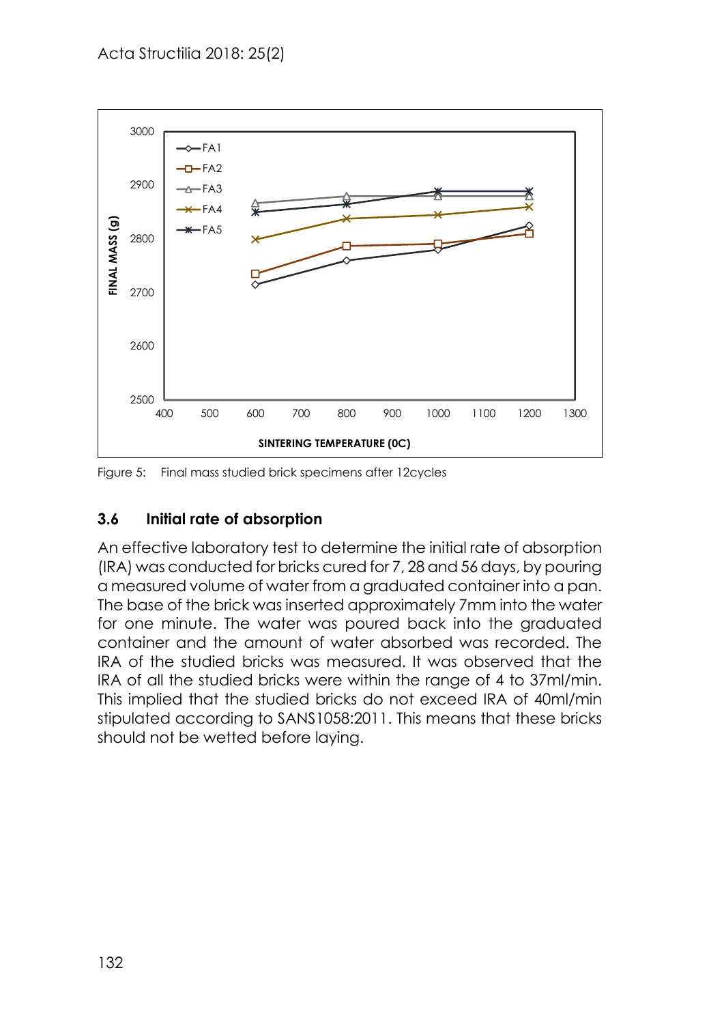

Figure 5: Final mass studied brick specimens after 12cycles Figure 5: Final mass studied brick specimens after 12cycles

#### **4.6 Initial rate of absorption 3.6 Initial rate of absorption**

An effective laboratory test to determine the initial rate of absorption (IRA) was conducted for bricks cured for 7, 28 and 56 days, by pouring a measured volume of water from a graduated container into a pan. The base of the brick was inserted approximately 7mm into the water the graduated container and the amount of performancely container water water.  $\sigma$  the studied bricks was measured. It was observed that the IRA of all the studied that the studied the studied the studied the studied the studied the studied the studied the studied the studied the studied the studie container and the amount of water absorbed was recorded. The studied brief in the studies of the studies of the studies of the studies of the studies of the studies of the studies of the studies of the studies of the studi IRA of the studied bricks was measured. It was observed that the IRA of all the studied bricks were within the range of 4 to 37ml/min. This implied that the studied bricks do not exceed IRA of 40ml/min stipulated according to SANS1058:2011. This means that these bricks should not be wetted before laying.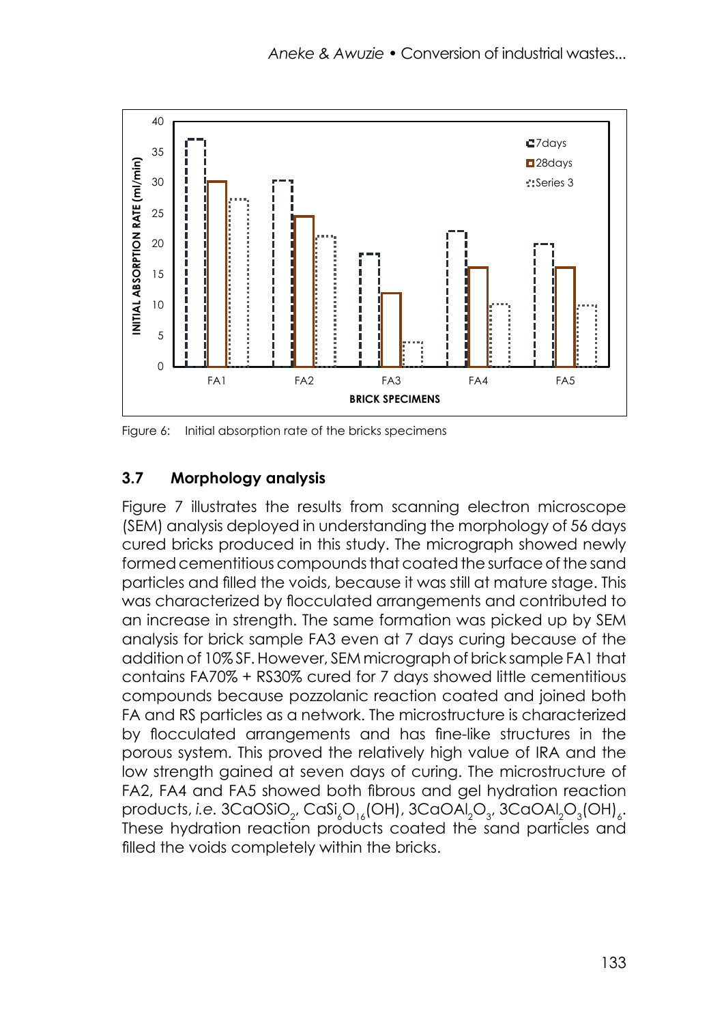

Figure 6: Initial absorption rate of the bricks specimens Figure 6: Initial absorption rate of the bricks specimens

# **4.7 Morphology analysis 3.7 Morphology analysis**

Figure 7 illustrates the results from scanning electron microscope depends in understanding the morphology of  $\sigma$  days cure discussed in the morphology of  $\sigma$  days cure discussed in the morphology of  $\sigma$  days cure discussed in the morphology of  $\sigma$  days cure discussed in the morpholo (SEM) analysis deployed in understanding the morphology of 56 days cured bricks produced in this study. The micrograph showed newly formed cementitious compounds that coated the surface of the sand particles and filled the voids, because it was still at mature stage. This was characterized by flocculated arrangements and contributed to an increase in strength. The same formation was picked up by SEM an are compounded an analysis for brick sample FA3 even at 7 days curing because of the joined both FA and RS particles as a network. The microstructure is characterized by addition of 10% SF. However, SEM micrograph of brick sample FA1 that contains FA70% + RS30% cured for 7 days showed little cementitious compounds because pozzolanic reaction coated and joined both FA and RS particles as a network. The microstructure is characterized by flocculated arrangements and has fine-like structures in the porous system. This proved the relatively high value of IRA and the low strength gained at seven days of curing. The microstructure of FA2, FA4 and FA5 showed both fibrous and gel hydration reaction products, *i.e.* 3CaOSiO<sub>2</sub>, CaSi<sub>s</sub>O<sub>16</sub>(OH), 3CaOAl<sub>2</sub>O<sub>3</sub>, 3CaOAl<sub>2</sub>O<sub>3</sub>(OH)<sub>6</sub>. These hydration reaction products coated the sand particles and filled the voids completely within the bricks.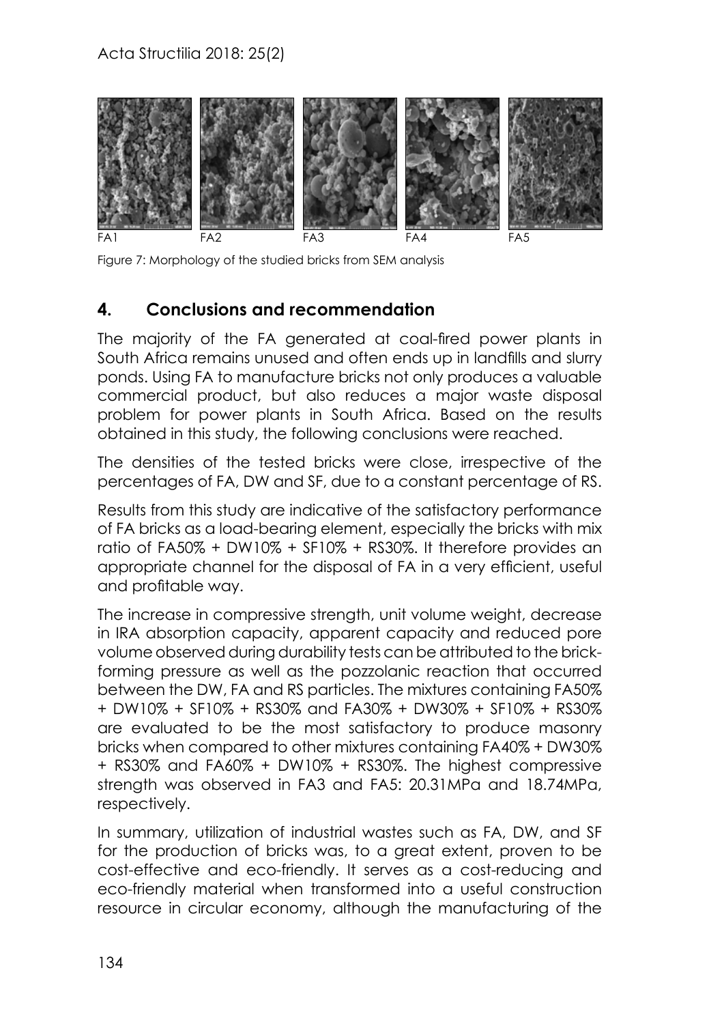

Figure 7: Morphology of the studied bricks from SEM analysis

### **4. Conclusions and recommendation**

The majority of the FA generated at coal-fired power plants in South Africa remains unused and often ends up in landfills and slurry ponds. Using FA to manufacture bricks not only produces a valuable commercial product, but also reduces a major waste disposal problem for power plants in South Africa. Based on the results obtained in this study, the following conclusions were reached.

The densities of the tested bricks were close, irrespective of the percentages of FA, DW and SF, due to a constant percentage of RS.

Results from this study are indicative of the satisfactory performance of FA bricks as a load-bearing element, especially the bricks with mix ratio of FA50% + DW10% + SF10% + RS30%. It therefore provides an appropriate channel for the disposal of FA in a very efficient, useful and profitable way.

The increase in compressive strength, unit volume weight, decrease in IRA absorption capacity, apparent capacity and reduced pore volume observed during durability tests can be attributed to the brickforming pressure as well as the pozzolanic reaction that occurred between the DW, FA and RS particles. The mixtures containing FA50% + DW10% + SF10% + RS30% and FA30% + DW30% + SF10% + RS30% are evaluated to be the most satisfactory to produce masonry bricks when compared to other mixtures containing FA40% + DW30% + RS30% and FA60% + DW10% + RS30%. The highest compressive strength was observed in FA3 and FA5: 20.31MPa and 18.74MPa, respectively.

In summary, utilization of industrial wastes such as FA, DW, and SF for the production of bricks was, to a great extent, proven to be cost-effective and eco-friendly. It serves as a cost-reducing and eco-friendly material when transformed into a useful construction resource in circular economy, although the manufacturing of the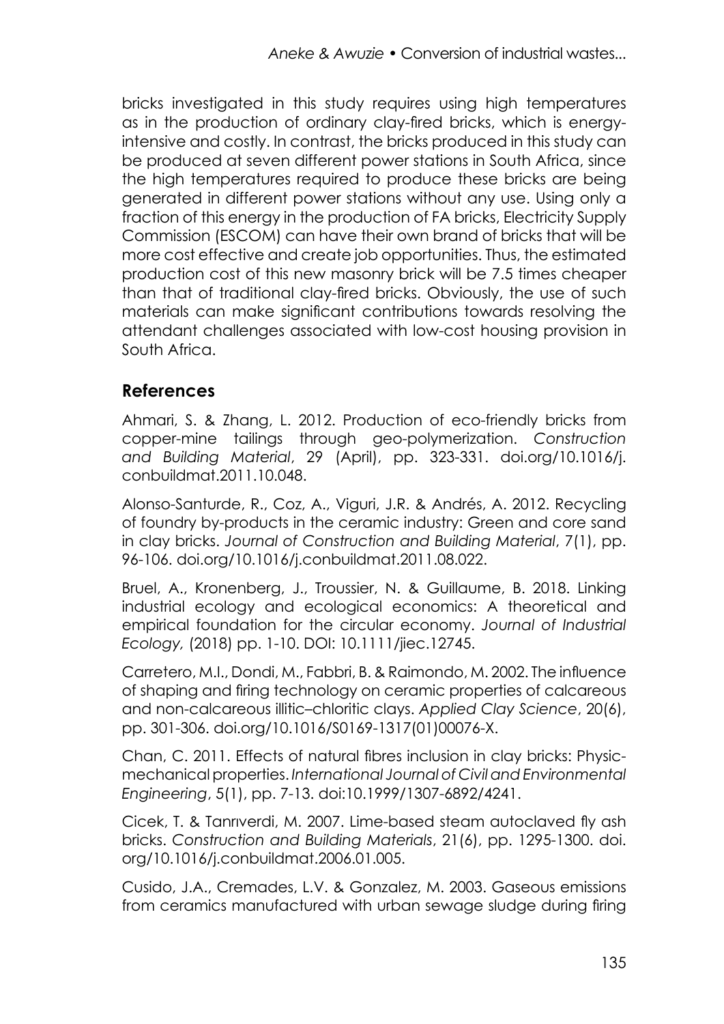bricks investigated in this study requires using high temperatures as in the production of ordinary clay-fired bricks, which is energyintensive and costly. In contrast, the bricks produced in this study can be produced at seven different power stations in South Africa, since the high temperatures required to produce these bricks are being generated in different power stations without any use. Using only a fraction of this energy in the production of FA bricks, Electricity Supply Commission (ESCOM) can have their own brand of bricks that will be more cost effective and create job opportunities. Thus, the estimated production cost of this new masonry brick will be 7.5 times cheaper than that of traditional clay-fired bricks. Obviously, the use of such materials can make significant contributions towards resolving the attendant challenges associated with low-cost housing provision in South Africa.

#### **References**

Ahmari, S. & Zhang, L. 2012. Production of eco-friendly bricks from copper-mine tailings through geo-polymerization. *Construction and Building Material*, 29 (April), pp. 323-331. doi.org/10.1016/j. conbuildmat.2011.10.048.

Alonso-Santurde, R., Coz, A., Viguri, J.R. & Andrés, A. 2012. Recycling of foundry by-products in the ceramic industry: Green and core sand in clay bricks. *Journal of Construction and Building Material*, 7(1), pp. 96-106. doi.org/10.1016/j.conbuildmat.2011.08.022.

Bruel, A., Kronenberg, J., Troussier, N. & Guillaume, B. 2018. Linking industrial ecology and ecological economics: A theoretical and empirical foundation for the circular economy. *Journal of Industrial Ecology,* (2018) pp. 1-10. DOI: 10.1111/jiec.12745.

Carretero, M.I., Dondi, M., Fabbri, B. & Raimondo, M. 2002. The influence of shaping and firing technology on ceramic properties of calcareous and non-calcareous illitic–chloritic clays. *Applied Clay Science*, 20(6), pp. 301-306. doi.org/10.1016/S0169-1317(01)00076-X.

Chan, C. 2011. Effects of natural fibres inclusion in clay bricks: Physicmechanical properties. *International Journal of Civil and Environmental Engineering*, 5(1), pp. 7-13. doi:10.1999/1307-6892/4241.

Cicek, T. & Tanrıverdi, M. 2007. Lime-based steam autoclaved fly ash bricks. *Construction and Building Materials*, 21(6), pp. 1295-1300. doi. org/10.1016/j.conbuildmat.2006.01.005.

Cusido, J.A., Cremades, L.V. & Gonzalez, M. 2003. Gaseous emissions from ceramics manufactured with urban sewage sludge during firing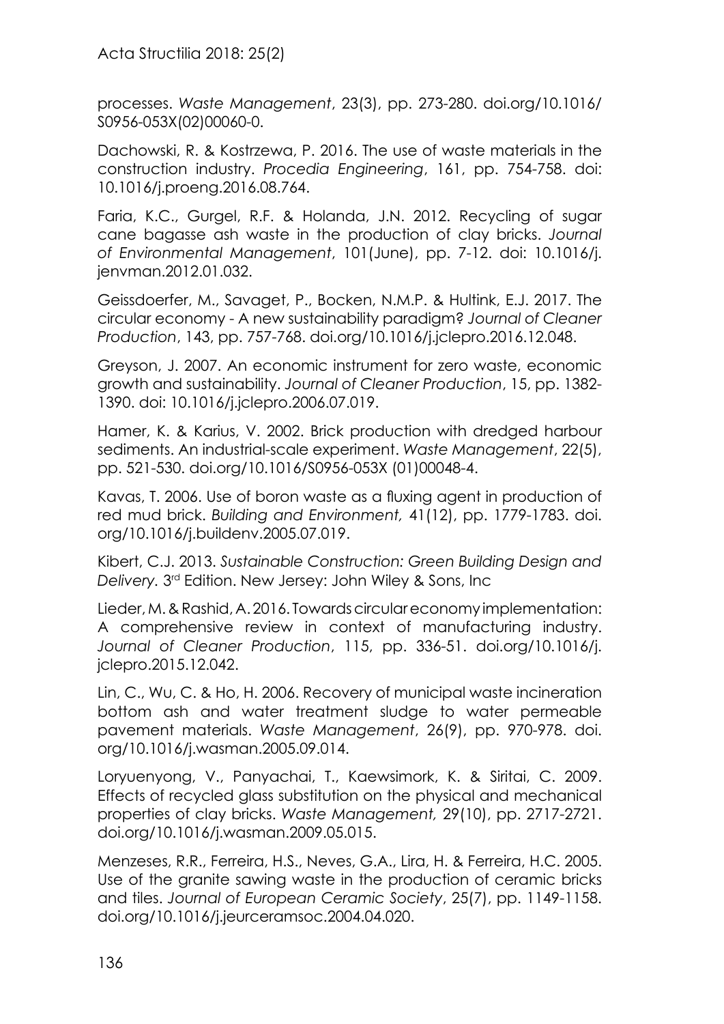Acta Structilia 2018: 25(2)

processes. *Waste Management*, 23(3), pp. 273-280. doi.org/10.1016/ S0956-053X(02)00060-0.

Dachowski, R. & Kostrzewa, P. 2016. The use of waste materials in the construction industry. *Procedia Engineering*, 161, pp. 754-758. doi: 10.1016/j.proeng.2016.08.764.

Faria, K.C., Gurgel, R.F. & Holanda, J.N. 2012. Recycling of sugar cane bagasse ash waste in the production of clay bricks. *Journal of Environmental Management*, 101(June), pp. 7-12. doi: 10.1016/j. jenvman.2012.01.032.

Geissdoerfer, M., Savaget, P., Bocken, N.M.P. & Hultink, E.J. 2017. The circular economy - A new sustainability paradigm? *Journal of Cleaner Production*, 143, pp. 757-768. doi.org/10.1016/j.jclepro.2016.12.048.

Greyson, J. 2007. An economic instrument for zero waste, economic growth and sustainability. *Journal of Cleaner Production*, 15, pp. 1382- 1390. doi: 10.1016/j.jclepro.2006.07.019.

Hamer, K. & Karius, V. 2002. Brick production with dredged harbour sediments. An industrial-scale experiment. *Waste Management*, 22(5), pp. 521-530. doi.org/10.1016/S0956-053X (01)00048-4.

Kavas, T. 2006. Use of boron waste as a fluxing agent in production of red mud brick. *Building and Environment,* 41(12), pp. 1779-1783. doi. org/10.1016/j.buildenv.2005.07.019.

Kibert, C.J. 2013. *Sustainable Construction: Green Building Design and Delivery.* 3rd Edition. New Jersey: John Wiley & Sons, Inc

Lieder, M. & Rashid, A. 2016. Towards circular economy implementation: A comprehensive review in context of manufacturing industry. *Journal of Cleaner Production*, 115, pp. 336-51. doi.org/10.1016/j. jclepro.2015.12.042.

Lin, C., Wu, C. & Ho, H. 2006. Recovery of municipal waste incineration bottom ash and water treatment sludge to water permeable pavement materials. *Waste Management*, 26(9), pp. 970-978. doi. org/10.1016/j.wasman.2005.09.014.

Loryuenyong, V., Panyachai, T., Kaewsimork, K. & Siritai, C. 2009. Effects of recycled glass substitution on the physical and mechanical properties of clay bricks. *Waste Management,* 29(10), pp. 2717-2721. doi.org/10.1016/j.wasman.2009.05.015.

Menzeses, R.R., Ferreira, H.S., Neves, G.A., Lira, H. & Ferreira, H.C. 2005. Use of the granite sawing waste in the production of ceramic bricks and tiles. *Journal of European Ceramic Society*, 25(7), pp. 1149-1158. doi.org/10.1016/j.jeurceramsoc.2004.04.020.